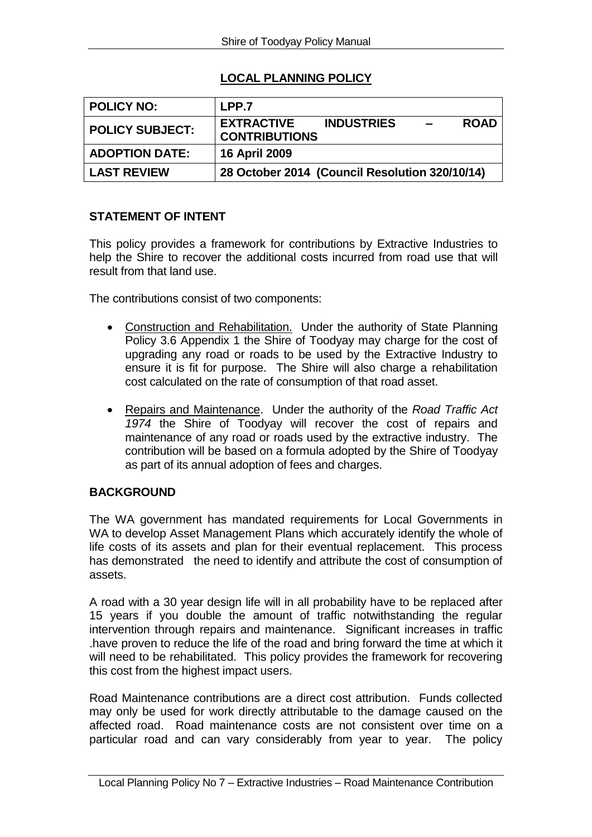# **LOCAL PLANNING POLICY**

| <b>POLICY NO:</b>      | LPP.7                                                                                     |
|------------------------|-------------------------------------------------------------------------------------------|
| <b>POLICY SUBJECT:</b> | <b>EXTRACTIVE</b><br><b>INDUSTRIES</b><br><b>ROAD</b><br>$\equiv$<br><b>CONTRIBUTIONS</b> |
| <b>ADOPTION DATE:</b>  | <b>16 April 2009</b>                                                                      |
| <b>LAST REVIEW</b>     | 28 October 2014 (Council Resolution 320/10/14)                                            |

### **STATEMENT OF INTENT**

This policy provides a framework for contributions by Extractive Industries to help the Shire to recover the additional costs incurred from road use that will result from that land use.

The contributions consist of two components:

- Construction and Rehabilitation. Under the authority of State Planning Policy 3.6 Appendix 1 the Shire of Toodyay may charge for the cost of upgrading any road or roads to be used by the Extractive Industry to ensure it is fit for purpose. The Shire will also charge a rehabilitation cost calculated on the rate of consumption of that road asset.
- Repairs and Maintenance. Under the authority of the *Road Traffic Act 1974* the Shire of Toodyay will recover the cost of repairs and maintenance of any road or roads used by the extractive industry. The contribution will be based on a formula adopted by the Shire of Toodyay as part of its annual adoption of fees and charges.

#### **BACKGROUND**

The WA government has mandated requirements for Local Governments in WA to develop Asset Management Plans which accurately identify the whole of life costs of its assets and plan for their eventual replacement. This process has demonstrated the need to identify and attribute the cost of consumption of assets.

A road with a 30 year design life will in all probability have to be replaced after 15 years if you double the amount of traffic notwithstanding the regular intervention through repairs and maintenance. Significant increases in traffic .have proven to reduce the life of the road and bring forward the time at which it will need to be rehabilitated. This policy provides the framework for recovering this cost from the highest impact users.

Road Maintenance contributions are a direct cost attribution. Funds collected may only be used for work directly attributable to the damage caused on the affected road. Road maintenance costs are not consistent over time on a particular road and can vary considerably from year to year. The policy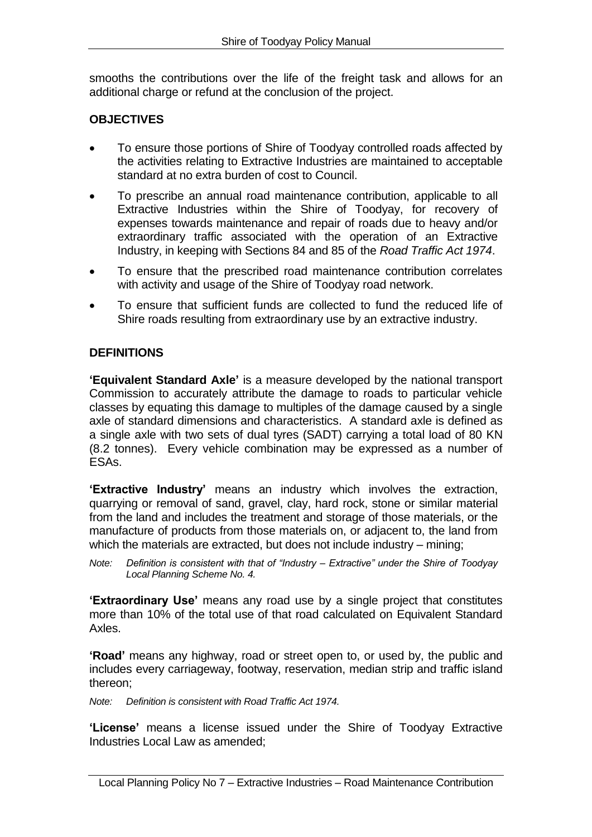smooths the contributions over the life of the freight task and allows for an additional charge or refund at the conclusion of the project.

# **OBJECTIVES**

- To ensure those portions of Shire of Toodyay controlled roads affected by the activities relating to Extractive Industries are maintained to acceptable standard at no extra burden of cost to Council.
- To prescribe an annual road maintenance contribution, applicable to all Extractive Industries within the Shire of Toodyay, for recovery of expenses towards maintenance and repair of roads due to heavy and/or extraordinary traffic associated with the operation of an Extractive Industry, in keeping with Sections 84 and 85 of the *Road Traffic Act 1974*.
- To ensure that the prescribed road maintenance contribution correlates with activity and usage of the Shire of Toodyay road network.
- To ensure that sufficient funds are collected to fund the reduced life of Shire roads resulting from extraordinary use by an extractive industry.

## **DEFINITIONS**

**'Equivalent Standard Axle'** is a measure developed by the national transport Commission to accurately attribute the damage to roads to particular vehicle classes by equating this damage to multiples of the damage caused by a single axle of standard dimensions and characteristics. A standard axle is defined as a single axle with two sets of dual tyres (SADT) carrying a total load of 80 KN (8.2 tonnes). Every vehicle combination may be expressed as a number of ESAs.

**'Extractive Industry'** means an industry which involves the extraction, quarrying or removal of sand, gravel, clay, hard rock, stone or similar material from the land and includes the treatment and storage of those materials, or the manufacture of products from those materials on, or adjacent to, the land from which the materials are extracted, but does not include industry – mining;

*Note: Definition is consistent with that of "Industry – Extractive" under the Shire of Toodyay Local Planning Scheme No. 4.*

**'Extraordinary Use'** means any road use by a single project that constitutes more than 10% of the total use of that road calculated on Equivalent Standard Axles.

**'Road'** means any highway, road or street open to, or used by, the public and includes every carriageway, footway, reservation, median strip and traffic island thereon;

*Note: Definition is consistent with Road Traffic Act 1974.*

**'License'** means a license issued under the Shire of Toodyay Extractive Industries Local Law as amended;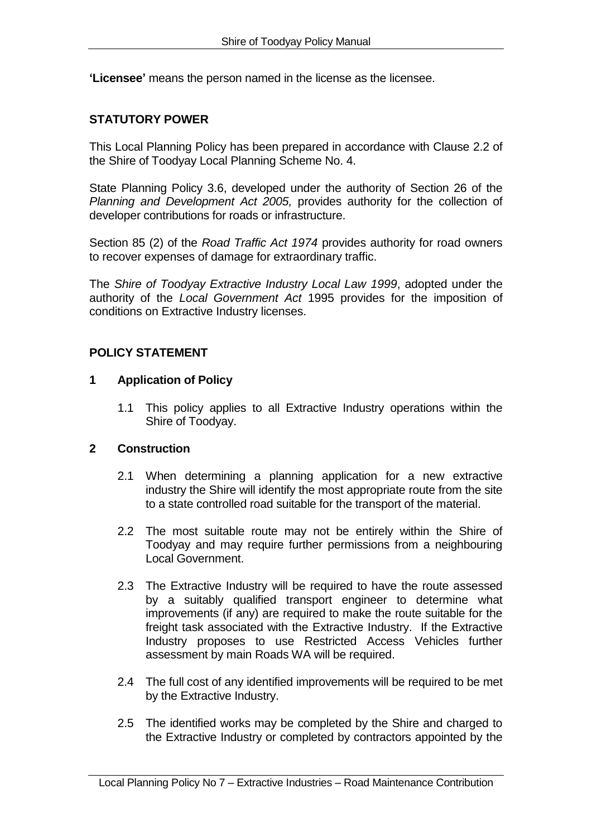**'Licensee'** means the person named in the license as the licensee.

### **STATUTORY POWER**

This Local Planning Policy has been prepared in accordance with Clause 2.2 of the Shire of Toodyay Local Planning Scheme No. 4.

State Planning Policy 3.6, developed under the authority of Section 26 of the *Planning and Development Act 2005,* provides authority for the collection of developer contributions for roads or infrastructure.

Section 85 (2) of the *Road Traffic Act 1974* provides authority for road owners to recover expenses of damage for extraordinary traffic.

The *Shire of Toodyay Extractive Industry Local Law 1999*, adopted under the authority of the *Local Government Act* 1995 provides for the imposition of conditions on Extractive Industry licenses.

#### **POLICY STATEMENT**

#### **1 Application of Policy**

1.1 This policy applies to all Extractive Industry operations within the Shire of Toodyay.

### **2 Construction**

- 2.1 When determining a planning application for a new extractive industry the Shire will identify the most appropriate route from the site to a state controlled road suitable for the transport of the material.
- 2.2 The most suitable route may not be entirely within the Shire of Toodyay and may require further permissions from a neighbouring Local Government.
- 2.3 The Extractive Industry will be required to have the route assessed by a suitably qualified transport engineer to determine what improvements (if any) are required to make the route suitable for the freight task associated with the Extractive Industry. If the Extractive Industry proposes to use Restricted Access Vehicles further assessment by main Roads WA will be required.
- 2.4 The full cost of any identified improvements will be required to be met by the Extractive Industry.
- 2.5 The identified works may be completed by the Shire and charged to the Extractive Industry or completed by contractors appointed by the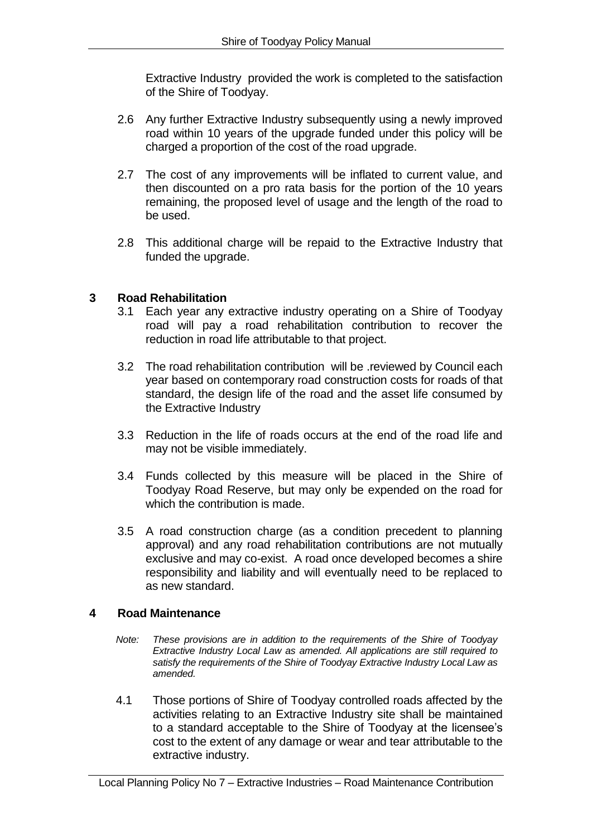Extractive Industry provided the work is completed to the satisfaction of the Shire of Toodyay.

- 2.6 Any further Extractive Industry subsequently using a newly improved road within 10 years of the upgrade funded under this policy will be charged a proportion of the cost of the road upgrade.
- 2.7 The cost of any improvements will be inflated to current value, and then discounted on a pro rata basis for the portion of the 10 years remaining, the proposed level of usage and the length of the road to be used.
- 2.8 This additional charge will be repaid to the Extractive Industry that funded the upgrade.

#### **3 Road Rehabilitation**

- 3.1 Each year any extractive industry operating on a Shire of Toodyay road will pay a road rehabilitation contribution to recover the reduction in road life attributable to that project.
- 3.2 The road rehabilitation contribution will be .reviewed by Council each year based on contemporary road construction costs for roads of that standard, the design life of the road and the asset life consumed by the Extractive Industry
- 3.3 Reduction in the life of roads occurs at the end of the road life and may not be visible immediately.
- 3.4 Funds collected by this measure will be placed in the Shire of Toodyay Road Reserve, but may only be expended on the road for which the contribution is made.
- 3.5 A road construction charge (as a condition precedent to planning approval) and any road rehabilitation contributions are not mutually exclusive and may co-exist. A road once developed becomes a shire responsibility and liability and will eventually need to be replaced to as new standard.

#### **4 Road Maintenance**

- *Note: These provisions are in addition to the requirements of the Shire of Toodyay Extractive Industry Local Law as amended. All applications are still required to satisfy the requirements of the Shire of Toodyay Extractive Industry Local Law as amended.*
- 4.1 Those portions of Shire of Toodyay controlled roads affected by the activities relating to an Extractive Industry site shall be maintained to a standard acceptable to the Shire of Toodyay at the licensee's cost to the extent of any damage or wear and tear attributable to the extractive industry.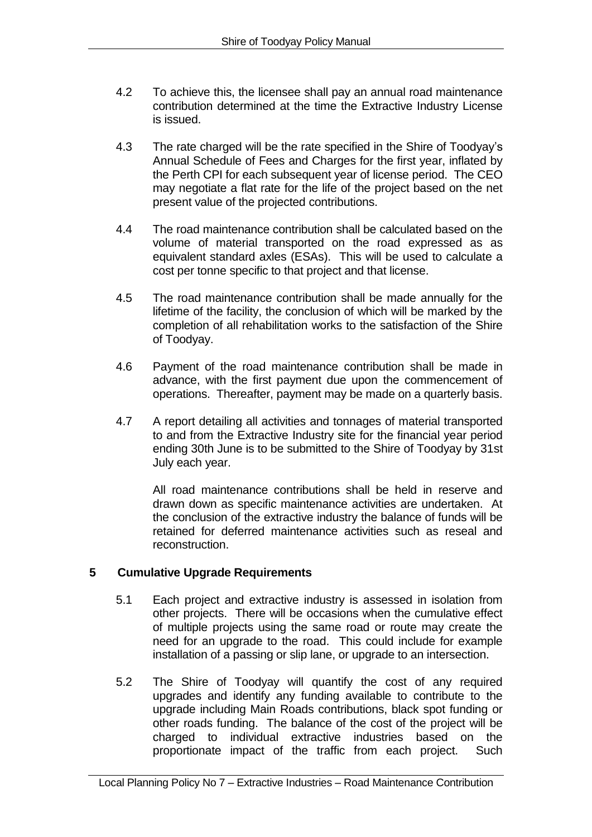- 4.2 To achieve this, the licensee shall pay an annual road maintenance contribution determined at the time the Extractive Industry License is issued.
- 4.3 The rate charged will be the rate specified in the Shire of Toodyay's Annual Schedule of Fees and Charges for the first year, inflated by the Perth CPI for each subsequent year of license period. The CEO may negotiate a flat rate for the life of the project based on the net present value of the projected contributions.
- 4.4 The road maintenance contribution shall be calculated based on the volume of material transported on the road expressed as as equivalent standard axles (ESAs). This will be used to calculate a cost per tonne specific to that project and that license.
- 4.5 The road maintenance contribution shall be made annually for the lifetime of the facility, the conclusion of which will be marked by the completion of all rehabilitation works to the satisfaction of the Shire of Toodyay.
- 4.6 Payment of the road maintenance contribution shall be made in advance, with the first payment due upon the commencement of operations. Thereafter, payment may be made on a quarterly basis.
- 4.7 A report detailing all activities and tonnages of material transported to and from the Extractive Industry site for the financial year period ending 30th June is to be submitted to the Shire of Toodyay by 31st July each year.

All road maintenance contributions shall be held in reserve and drawn down as specific maintenance activities are undertaken. At the conclusion of the extractive industry the balance of funds will be retained for deferred maintenance activities such as reseal and reconstruction.

## **5 Cumulative Upgrade Requirements**

- 5.1 Each project and extractive industry is assessed in isolation from other projects. There will be occasions when the cumulative effect of multiple projects using the same road or route may create the need for an upgrade to the road. This could include for example installation of a passing or slip lane, or upgrade to an intersection.
- 5.2 The Shire of Toodyay will quantify the cost of any required upgrades and identify any funding available to contribute to the upgrade including Main Roads contributions, black spot funding or other roads funding. The balance of the cost of the project will be charged to individual extractive industries based on the proportionate impact of the traffic from each project. Such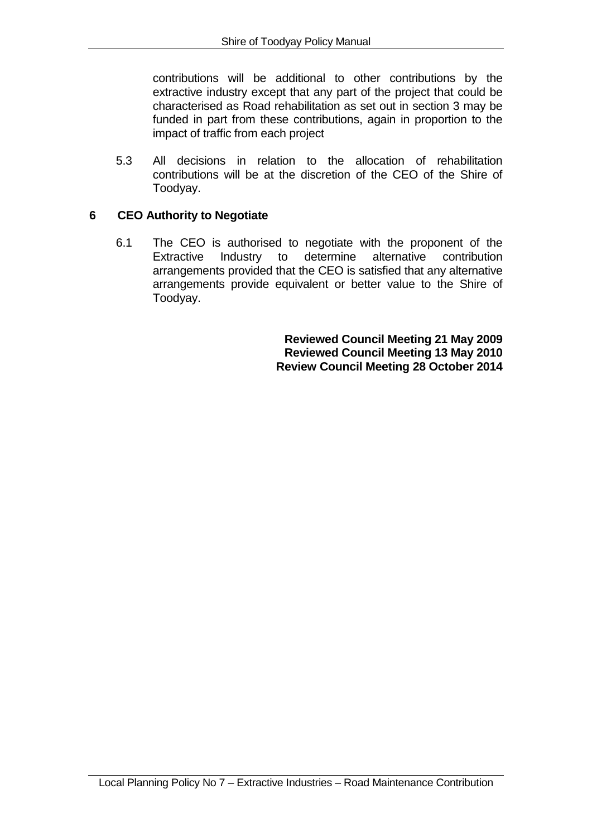contributions will be additional to other contributions by the extractive industry except that any part of the project that could be characterised as Road rehabilitation as set out in section 3 may be funded in part from these contributions, again in proportion to the impact of traffic from each project

5.3 All decisions in relation to the allocation of rehabilitation contributions will be at the discretion of the CEO of the Shire of Toodyay.

### **6 CEO Authority to Negotiate**

6.1 The CEO is authorised to negotiate with the proponent of the<br>Extractive Industry to determine alternative contribution Extractive Industry to determine arrangements provided that the CEO is satisfied that any alternative arrangements provide equivalent or better value to the Shire of Toodyay.

> **Reviewed Council Meeting 21 May 2009 Reviewed Council Meeting 13 May 2010 Review Council Meeting 28 October 2014**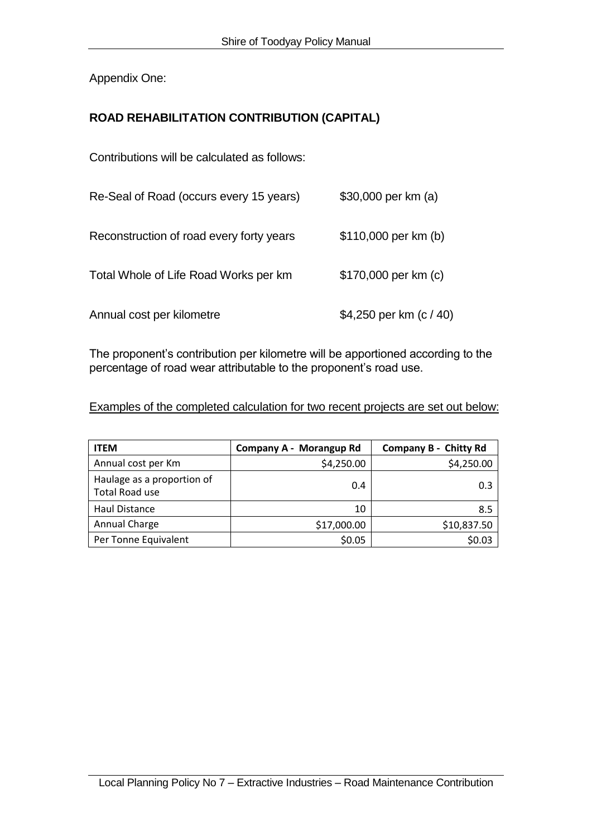Appendix One:

# **ROAD REHABILITATION CONTRIBUTION (CAPITAL)**

Contributions will be calculated as follows:

| Re-Seal of Road (occurs every 15 years)  | \$30,000 per km (a)       |
|------------------------------------------|---------------------------|
| Reconstruction of road every forty years | \$110,000 per km (b)      |
| Total Whole of Life Road Works per km    | \$170,000 per km (c)      |
| Annual cost per kilometre                | \$4,250 per km $(c / 40)$ |

The proponent's contribution per kilometre will be apportioned according to the percentage of road wear attributable to the proponent's road use.

#### Examples of the completed calculation for two recent projects are set out below:

| <b>ITEM</b>                                         | Company A - Morangup Rd | <b>Company B - Chitty Rd</b> |
|-----------------------------------------------------|-------------------------|------------------------------|
| Annual cost per Km                                  | \$4,250.00              | \$4,250.00                   |
| Haulage as a proportion of<br><b>Total Road use</b> | 0.4                     | 0.3                          |
| Haul Distance                                       | 10                      | 8.5                          |
| Annual Charge                                       | \$17,000.00             | \$10,837.50                  |
| Per Tonne Equivalent                                | \$0.05                  | \$0.03                       |